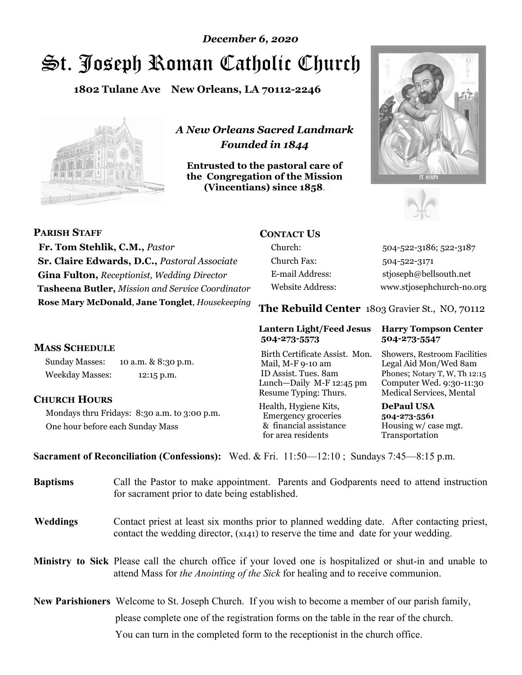# St. Joseph Roman Catholic Church *December 6, 2020*

**1802 Tulane Ave New Orleans, LA 70112-2246**



*A New Orleans Sacred Landmark Founded in 1844* 

**Entrusted to the pastoral care of the Congregation of the Mission (Vincentians) since 1858**.





| <b>PARISH STAFF</b>                                     | <b>CONTACT US</b> |                                                                                                                                                                                                                                                                                                                                    |
|---------------------------------------------------------|-------------------|------------------------------------------------------------------------------------------------------------------------------------------------------------------------------------------------------------------------------------------------------------------------------------------------------------------------------------|
| Fr. Tom Stehlik, C.M., Pastor                           | Church:           | 504-522-3186                                                                                                                                                                                                                                                                                                                       |
| <b>Sr. Claire Edwards, D.C., Pastoral Associate</b>     | Church Fax:       | 504-522-3171                                                                                                                                                                                                                                                                                                                       |
| <b>Gina Fulton, Receptionist, Wedding Director</b>      | E-mail Address:   | stjoseph@bell                                                                                                                                                                                                                                                                                                                      |
| <b>Tasheena Butler, Mission and Service Coordinator</b> | Website Address:  | www.stjosepho                                                                                                                                                                                                                                                                                                                      |
| Rose Mary McDonald, Jane Tonglet, Housekeeping          | m1                | $\mathbf{B}$ $\mathbf{I}$ $\mathbf{B}$ $\mathbf{I}$ $\mathbf{A}$ $\mathbf{B}$ $\mathbf{A}$ $\mathbf{B}$ $\mathbf{A}$ $\mathbf{B}$ $\mathbf{A}$ $\mathbf{B}$ $\mathbf{A}$ $\mathbf{B}$ $\mathbf{A}$ $\mathbf{B}$ $\mathbf{B}$ $\mathbf{B}$ $\mathbf{B}$ $\mathbf{B}$ $\mathbf{B}$ $\mathbf{B}$ $\mathbf{B}$ $\mathbf{B}$ $\mathbf{$ |

#### **MASS SCHEDULE**

Sunday Masses: 10 a.m. & 8:30 p.m. Weekday Masses: 12:15 p.m.

#### **CHURCH HOURS**

Mondays thru Fridays: 8:30 a.m. to 3:00 p.m. One hour before each Sunday Mass

3186; 522-3187  $\widehat{\bm{x}}$ bellsouth.net sephchurch-no.org

**The Rebuild Center** 1803 Gravier St., NO, 70112

#### **Lantern Light/Feed Jesus Harry Tompson Center 504-273-5573 504-273-5547**

Birth Certificate Assist. Mon. Showers, Restroom Facilities Mail, M-F 9-10 am Legal Aid Mon/Wed 8am ID Assist. Tues. 8am Phones; Notary T, W, Th 12:15 Lunch—Daily M-F 12:45 pm Computer Wed. 9:30-11:30 Resume Typing: Thurs. Medical Services, Mental

Health, Hygiene Kits, **DePaul USA**  Emergency groceries **504-273-5561** & financial assistance Housing w/ case mgt.<br>for area residents Transportation for area residents

**Sacrament of Reconciliation (Confessions):** Wed. & Fri. 11:50—12:10 ; Sundays 7:45—8:15 p.m.

| <b>Baptisms</b> | Call the Pastor to make appointment. Parents and Godparents need to attend instruction<br>for sacrament prior to date being established.                                                            |
|-----------------|-----------------------------------------------------------------------------------------------------------------------------------------------------------------------------------------------------|
| <b>Weddings</b> | Contact priest at least six months prior to planned wedding date. After contacting priest,<br>contact the wedding director, (x141) to reserve the time and date for your wedding.                   |
|                 | <b>Ministry to Sick</b> Please call the church office if your loved one is hospitalized or shut-in and unable to<br>attend Mass for the Anointing of the Sick for healing and to receive communion. |
|                 | <b>New Parishioners</b> Welcome to St. Joseph Church. If you wish to become a member of our parish family,<br>please complete one of the registration forms on the table in the rear of the church. |

You can turn in the completed form to the receptionist in the church office.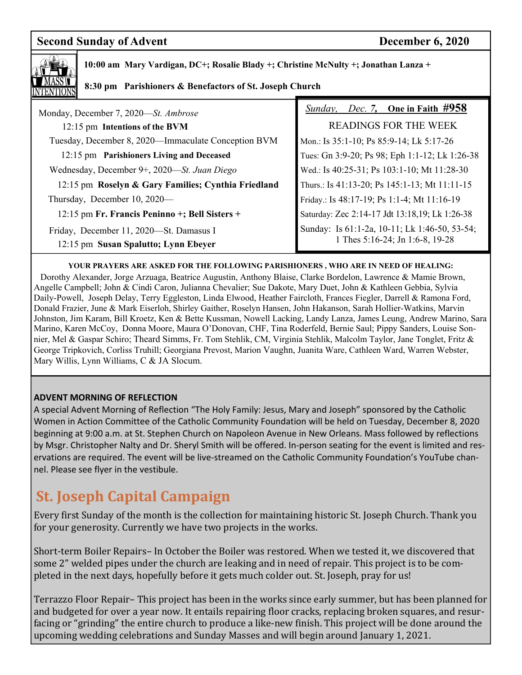## **Second Sunday of Advent December 6, 2020**



 **10:00 am Mary Vardigan, DC+; Rosalie Blady +; Christine McNulty +; Jonathan Lanza +** 

#### **8:30 pm Parishioners & Benefactors of St. Joseph Church**

| Monday, December 7, 2020-St. Ambrose                                            | <i>Sunday, Dec. 7, One in Faith <math>\#958</math></i>                           |  |
|---------------------------------------------------------------------------------|----------------------------------------------------------------------------------|--|
| 12:15 pm Intentions of the BVM                                                  | <b>READINGS FOR THE WEEK</b>                                                     |  |
| Tuesday, December 8, 2020-Immaculate Conception BVM                             | Mon.: Is 35:1-10; Ps 85:9-14; Lk 5:17-26                                         |  |
| 12:15 pm Parishioners Living and Deceased                                       | Tues: Gn 3:9-20; Ps 98; Eph 1:1-12; Lk 1:26-38                                   |  |
| Wednesday, December 9+, 2020—St. Juan Diego                                     | Wed.: Is 40:25-31; Ps 103:1-10; Mt 11:28-30                                      |  |
| 12:15 pm Roselyn & Gary Families; Cynthia Friedland                             | Thurs.: Is 41:13-20; Ps 145:1-13; Mt 11:11-15                                    |  |
| Thursday, December 10, 2020—                                                    | Friday.: Is 48:17-19; Ps 1:1-4; Mt 11:16-19                                      |  |
| 12:15 pm Fr. Francis Peninno +; Bell Sisters +                                  | Saturday: Zec 2:14-17 Jdt 13:18,19; Lk 1:26-38                                   |  |
| Friday, December 11, 2020-St. Damasus I<br>12:15 pm Susan Spalutto; Lynn Ebeyer | Sunday: Is 61:1-2a, 10-11; Lk 1:46-50, 53-54;<br>1 Thes 5:16-24; Jn 1:6-8, 19-28 |  |

#### **YOUR PRAYERS ARE ASKED FOR THE FOLLOWING PARISHIONERS , WHO ARE IN NEED OF HEALING:**

 Dorothy Alexander, Jorge Arzuaga, Beatrice Augustin, Anthony Blaise, Clarke Bordelon, Lawrence & Mamie Brown, Angelle Campbell; John & Cindi Caron, Julianna Chevalier; Sue Dakote, Mary Duet, John & Kathleen Gebbia, Sylvia Daily-Powell, Joseph Delay, Terry Eggleston, Linda Elwood, Heather Faircloth, Frances Fiegler, Darrell & Ramona Ford, Donald Frazier, June & Mark Eiserloh, Shirley Gaither, Roselyn Hansen, John Hakanson, Sarah Hollier-Watkins, Marvin Johnston, Jim Karam, Bill Kroetz, Ken & Bette Kussman, Nowell Lacking, Landy Lanza, James Leung, Andrew Marino, Sara Marino, Karen McCoy, Donna Moore, Maura O'Donovan, CHF, Tina Roderfeld, Bernie Saul; Pippy Sanders, Louise Sonnier, Mel & Gaspar Schiro; Theard Simms, Fr. Tom Stehlik, CM, Virginia Stehlik, Malcolm Taylor, Jane Tonglet, Fritz & George Tripkovich, Corliss Truhill; Georgiana Prevost, Marion Vaughn, Juanita Ware, Cathleen Ward, Warren Webster, Mary Willis, Lynn Williams, C & JA Slocum.

#### **ADVENT MORNING OF REFLECTION**

A special Advent Morning of Reflection "The Holy Family: Jesus, Mary and Joseph" sponsored by the Catholic Women in Action Committee of the Catholic Community Foundation will be held on Tuesday, December 8, 2020 beginning at 9:00 a.m. at St. Stephen Church on Napoleon Avenue in New Orleans. Mass followed by reflections by Msgr. Christopher Nalty and Dr. Sheryl Smith will be offered. In-person seating for the event is limited and reservations are required. The event will be live-streamed on the Catholic Community Foundation's YouTube channel. Please see flyer in the vestibule.

# **St. Joseph Capital Campaign**

Every first Sunday of the month is the collection for maintaining historic St. Joseph Church. Thank you for your generosity. Currently we have two projects in the works.

Short-term Boiler Repairs– In October the Boiler was restored. When we tested it, we discovered that some 2" welded pipes under the church are leaking and in need of repair. This project is to be completed in the next days, hopefully before it gets much colder out. St. Joseph, pray for us!

Terrazzo Floor Repair– This project has been in the works since early summer, but has been planned for and budgeted for over a year now. It entails repairing floor cracks, replacing broken squares, and resurfacing or "grinding" the entire church to produce a like-new finish. This project will be done around the upcoming wedding celebrations and Sunday Masses and will begin around January 1, 2021.